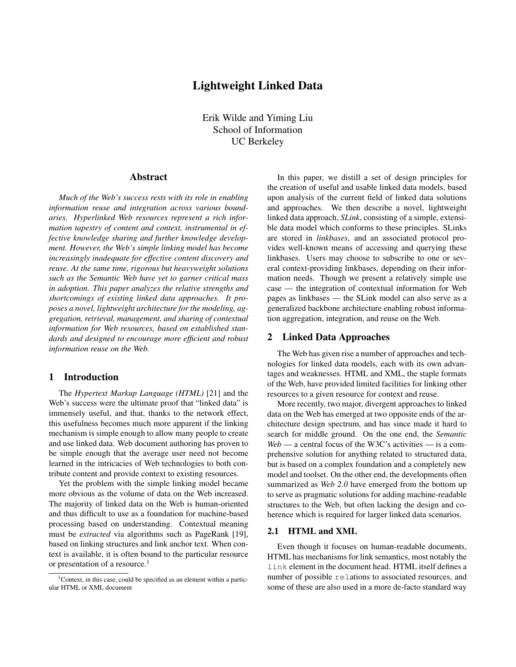# Lightweight Linked Data

Erik Wilde and Yiming Liu School of Information UC Berkeley

# Abstract

*Much of the Web's success rests with its role in enabling information reuse and integration across various boundaries. Hyperlinked Web resources represent a rich information tapestry of content and context, instrumental in effective knowledge sharing and further knowledge development. However, the Web's simple linking model has become increasingly inadequate for effective content discovery and reuse. At the same time, rigorous but heavyweight solutions such as the Semantic Web have yet to garner critical mass in adoption. This paper analyzes the relative strengths and shortcomings of existing linked data approaches. It proposes a novel, lightweight architecture for the modeling, aggregation, retrieval, management, and sharing of contextual information for Web resources, based on established standards and designed to encourage more efficient and robust information reuse on the Web.*

# 1 Introduction

The *Hypertext Markup Language (HTML)* [\[21\]](#page-5-0) and the Web's success were the ultimate proof that "linked data" is immensely useful, and that, thanks to the network effect, this usefulness becomes much more apparent if the linking mechanism is simple enough to allow many people to create and use linked data. Web document authoring has proven to be simple enough that the average user need not become learned in the intricacies of Web technologies to both contribute content and provide context to existing resources.

Yet the problem with the simple linking model became more obvious as the volume of data on the Web increased. The majority of linked data on the Web is human-oriented and thus difficult to use as a foundation for machine-based processing based on understanding. Contextual meaning must be *extracted* via algorithms such as PageRank [\[19\]](#page-5-0), based on linking structures and link anchor text. When context is available, it is often bound to the particular resource or presentation of a resource.<sup>1</sup>

In this paper, we distill a set of design principles for the creation of useful and usable linked data models, based upon analysis of the current field of linked data solutions and approaches. We then describe a novel, lightweight linked data approach, *SLink*, consisting of a simple, extensible data model which conforms to these principles. SLinks are stored in *linkbases*, and an associated protocol provides well-known means of accessing and querying these linkbases. Users may choose to subscribe to one or several context-providing linkbases, depending on their information needs. Though we present a relatively simple use case — the integration of contextual information for Web pages as linkbases — the SLink model can also serve as a generalized backbone architecture enabling robust information aggregation, integration, and reuse on the Web.

# 2 Linked Data Approaches

The Web has given rise a number of approaches and technologies for linked data models, each with its own advantages and weaknesses. HTML and XML, the staple formats of the Web, have provided limited facilities for linking other resources to a given resource for context and reuse.

More recently, two major, divergent approaches to linked data on the Web has emerged at two opposite ends of the architecture design spectrum, and has since made it hard to search for middle ground. On the one end, the *Semantic Web* — a central focus of the W3C's activities — is a comprehensive solution for anything related to structured data, but is based on a complex foundation and a completely new model and toolset. On the other end, the developments often summarized as *Web 2.0* have emerged from the bottom up to serve as pragmatic solutions for adding machine-readable structures to the Web, but often lacking the design and coherence which is required for larger linked data scenarios.

## 2.1 HTML and XML

Even though it focuses on human-readable documents, HTML has mechanisms for link semantics, most notably the link element in the document head. HTML itself defines a number of possible relations to associated resources, and some of these are also used in a more de-facto standard way

<sup>&</sup>lt;sup>1</sup>Context, in this case, could be specified as an element within a particular HTML or XML document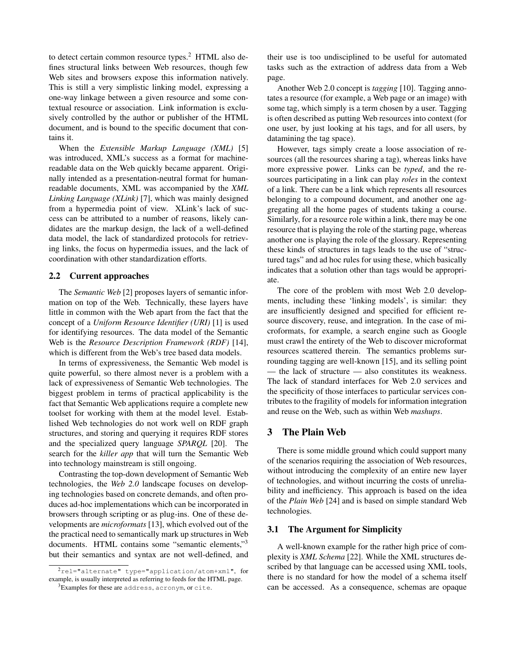to detect certain common resource types.<sup>2</sup> HTML also defines structural links between Web resources, though few Web sites and browsers expose this information natively. This is still a very simplistic linking model, expressing a one-way linkage between a given resource and some contextual resource or association. Link information is exclusively controlled by the author or publisher of the HTML document, and is bound to the specific document that contains it.

When the *Extensible Markup Language (XML)* [\[5\]](#page-5-0) was introduced, XML's success as a format for machinereadable data on the Web quickly became apparent. Originally intended as a presentation-neutral format for humanreadable documents, XML was accompanied by the *XML Linking Language (XLink)* [\[7\]](#page-5-0), which was mainly designed from a hypermedia point of view. XLink's lack of success can be attributed to a number of reasons, likely candidates are the markup design, the lack of a well-defined data model, the lack of standardized protocols for retrieving links, the focus on hypermedia issues, and the lack of coordination with other standardization efforts.

## 2.2 Current approaches

The *Semantic Web* [\[2\]](#page-5-0) proposes layers of semantic information on top of the Web. Technically, these layers have little in common with the Web apart from the fact that the concept of a *Uniform Resource Identifier (URI)* [\[1\]](#page-5-0) is used for identifying resources. The data model of the Semantic Web is the *Resource Description Framework (RDF)* [\[14\]](#page-5-0), which is different from the Web's tree based data models.

In terms of expressiveness, the Semantic Web model is quite powerful, so there almost never is a problem with a lack of expressiveness of Semantic Web technologies. The biggest problem in terms of practical applicability is the fact that Semantic Web applications require a complete new toolset for working with them at the model level. Established Web technologies do not work well on RDF graph structures, and storing and querying it requires RDF stores and the specialized query language *SPARQL* [\[20\]](#page-5-0). The search for the *killer app* that will turn the Semantic Web into technology mainstream is still ongoing.

Contrasting the top-down development of Semantic Web technologies, the *Web 2.0* landscape focuses on developing technologies based on concrete demands, and often produces ad-hoc implementations which can be incorporated in browsers through scripting or as plug-ins. One of these developments are *microformats* [\[13\]](#page-5-0), which evolved out of the the practical need to semantically mark up structures in Web documents. HTML contains some "semantic elements,"<sup>3</sup> but their semantics and syntax are not well-defined, and

their use is too undisciplined to be useful for automated tasks such as the extraction of address data from a Web page.

Another Web 2.0 concept is *tagging* [\[10\]](#page-5-0). Tagging annotates a resource (for example, a Web page or an image) with some tag, which simply is a term chosen by a user. Tagging is often described as putting Web resources into context (for one user, by just looking at his tags, and for all users, by datamining the tag space).

However, tags simply create a loose association of resources (all the resources sharing a tag), whereas links have more expressive power. Links can be *typed*, and the resources participating in a link can play *roles* in the context of a link. There can be a link which represents all resources belonging to a compound document, and another one aggregating all the home pages of students taking a course. Similarly, for a resource role within a link, there may be one resource that is playing the role of the starting page, whereas another one is playing the role of the glossary. Representing these kinds of structures in tags leads to the use of "structured tags" and ad hoc rules for using these, which basically indicates that a solution other than tags would be appropriate.

The core of the problem with most Web 2.0 developments, including these 'linking models', is similar: they are insufficiently designed and specified for efficient resource discovery, reuse, and integration. In the case of microformats, for example, a search engine such as Google must crawl the entirety of the Web to discover microformat resources scattered therein. The semantics problems surrounding tagging are well-known [\[15\]](#page-5-0), and its selling point — the lack of structure — also constitutes its weakness. The lack of standard interfaces for Web 2.0 services and the specificity of those interfaces to particular services contributes to the fragility of models for information integration and reuse on the Web, such as within Web *mashups*.

# 3 The Plain Web

There is some middle ground which could support many of the scenarios requiring the association of Web resources, without introducing the complexity of an entire new layer of technologies, and without incurring the costs of unreliability and inefficiency. This approach is based on the idea of the *Plain Web* [\[24\]](#page-5-0) and is based on simple standard Web technologies.

#### 3.1 The Argument for Simplicity

A well-known example for the rather high price of complexity is *XML Schema* [\[22\]](#page-5-0). While the XML structures described by that language can be accessed using XML tools, there is no standard for how the model of a schema itself can be accessed. As a consequence, schemas are opaque

<sup>2</sup>rel="alternate" type="application/atom+xml", for example, is usually interpreted as referring to feeds for the HTML page.

<sup>3</sup>Examples for these are address, acronym, or cite.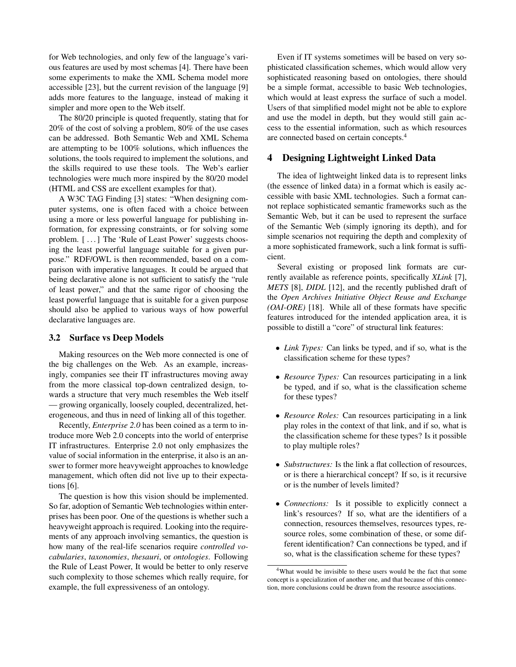<span id="page-2-0"></span>for Web technologies, and only few of the language's various features are used by most schemas [\[4\]](#page-5-0). There have been some experiments to make the XML Schema model more accessible [\[23\]](#page-5-0), but the current revision of the language [\[9\]](#page-5-0) adds more features to the language, instead of making it simpler and more open to the Web itself.

The 80/20 principle is quoted frequently, stating that for 20% of the cost of solving a problem, 80% of the use cases can be addressed. Both Semantic Web and XML Schema are attempting to be 100% solutions, which influences the solutions, the tools required to implement the solutions, and the skills required to use these tools. The Web's earlier technologies were much more inspired by the 80/20 model (HTML and CSS are excellent examples for that).

A W3C TAG Finding [\[3\]](#page-5-0) states: "When designing computer systems, one is often faced with a choice between using a more or less powerful language for publishing information, for expressing constraints, or for solving some problem. [...] The 'Rule of Least Power' suggests choosing the least powerful language suitable for a given purpose." RDF/OWL is then recommended, based on a comparison with imperative languages. It could be argued that being declarative alone is not sufficient to satisfy the "rule of least power," and that the same rigor of choosing the least powerful language that is suitable for a given purpose should also be applied to various ways of how powerful declarative languages are.

### 3.2 Surface vs Deep Models

Making resources on the Web more connected is one of the big challenges on the Web. As an example, increasingly, companies see their IT infrastructures moving away from the more classical top-down centralized design, towards a structure that very much resembles the Web itself — growing organically, loosely coupled, decentralized, heterogeneous, and thus in need of linking all of this together.

Recently, *Enterprise 2.0* has been coined as a term to introduce more Web 2.0 concepts into the world of enterprise IT infrastructures. Enterprise 2.0 not only emphasizes the value of social information in the enterprise, it also is an answer to former more heavyweight approaches to knowledge management, which often did not live up to their expectations [\[6\]](#page-5-0).

The question is how this vision should be implemented. So far, adoption of Semantic Web technologies within enterprises has been poor. One of the questions is whether such a heavyweight approach is required. Looking into the requirements of any approach involving semantics, the question is how many of the real-life scenarios require *controlled vocabularies*, *taxonomies*, *thesauri*, or *ontologies*. Following the Rule of Least Power, It would be better to only reserve such complexity to those schemes which really require, for example, the full expressiveness of an ontology.

Even if IT systems sometimes will be based on very sophisticated classification schemes, which would allow very sophisticated reasoning based on ontologies, there should be a simple format, accessible to basic Web technologies, which would at least express the surface of such a model. Users of that simplified model might not be able to explore and use the model in depth, but they would still gain access to the essential information, such as which resources are connected based on certain concepts.<sup>4</sup>

# 4 Designing Lightweight Linked Data

The idea of lightweight linked data is to represent links (the essence of linked data) in a format which is easily accessible with basic XML technologies. Such a format cannot replace sophisticated semantic frameworks such as the Semantic Web, but it can be used to represent the surface of the Semantic Web (simply ignoring its depth), and for simple scenarios not requiring the depth and complexity of a more sophisticated framework, such a link format is sufficient.

Several existing or proposed link formats are currently available as reference points, specifically *XLink* [\[7\]](#page-5-0), *METS* [\[8\]](#page-5-0), *DIDL* [\[12\]](#page-5-0), and the recently published draft of the *Open Archives Initiative Object Reuse and Exchange (OAI-ORE)* [\[18\]](#page-5-0). While all of these formats have specific features introduced for the intended application area, it is possible to distill a "core" of structural link features:

- *Link Types:* Can links be typed, and if so, what is the classification scheme for these types?
- *Resource Types:* Can resources participating in a link be typed, and if so, what is the classification scheme for these types?
- *Resource Roles:* Can resources participating in a link play roles in the context of that link, and if so, what is the classification scheme for these types? Is it possible to play multiple roles?
- *Substructures:* Is the link a flat collection of resources, or is there a hierarchical concept? If so, is it recursive or is the number of levels limited?
- *Connections:* Is it possible to explicitly connect a link's resources? If so, what are the identifiers of a connection, resources themselves, resources types, resource roles, some combination of these, or some different identification? Can connections be typed, and if so, what is the classification scheme for these types?

<sup>4</sup>What would be invisible to these users would be the fact that some concept is a specialization of another one, and that because of this connection, more conclusions could be drawn from the resource associations.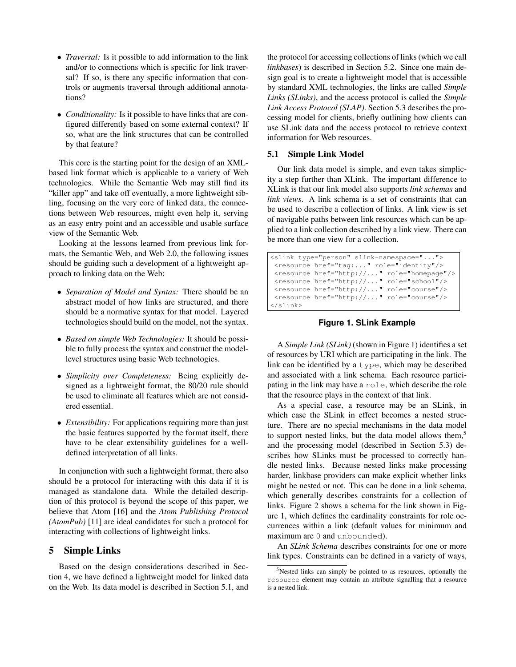- <span id="page-3-0"></span>• *Traversal:* Is it possible to add information to the link and/or to connections which is specific for link traversal? If so, is there any specific information that controls or augments traversal through additional annotations?
- *Conditionality:* Is it possible to have links that are configured differently based on some external context? If so, what are the link structures that can be controlled by that feature?

This core is the starting point for the design of an XMLbased link format which is applicable to a variety of Web technologies. While the Semantic Web may still find its "killer app" and take off eventually, a more lightweight sibling, focusing on the very core of linked data, the connections between Web resources, might even help it, serving as an easy entry point and an accessible and usable surface view of the Semantic Web.

Looking at the lessons learned from previous link formats, the Semantic Web, and Web 2.0, the following issues should be guiding such a development of a lightweight approach to linking data on the Web:

- *Separation of Model and Syntax:* There should be an abstract model of how links are structured, and there should be a normative syntax for that model. Layered technologies should build on the model, not the syntax.
- *Based on simple Web Technologies:* It should be possible to fully process the syntax and construct the modellevel structures using basic Web technologies.
- *Simplicity over Completeness:* Being explicitly designed as a lightweight format, the 80/20 rule should be used to eliminate all features which are not considered essential.
- *Extensibility:* For applications requiring more than just the basic features supported by the format itself, there have to be clear extensibility guidelines for a welldefined interpretation of all links.

In conjunction with such a lightweight format, there also should be a protocol for interacting with this data if it is managed as standalone data. While the detailed description of this protocol is beyond the scope of this paper, we believe that Atom [\[16\]](#page-5-0) and the *Atom Publishing Protocol (AtomPub)* [\[11\]](#page-5-0) are ideal candidates for such a protocol for interacting with collections of lightweight links.

# 5 Simple Links

Based on the design considerations described in Section [4,](#page-2-0) we have defined a lightweight model for linked data on the Web. Its data model is described in Section 5.1, and

the protocol for accessing collections of links (which we call *linkbases*) is described in Section [5.2.](#page-4-0) Since one main design goal is to create a lightweight model that is accessible by standard XML technologies, the links are called *Simple Links (SLinks)*, and the access protocol is called the *Simple Link Access Protocol (SLAP)*. Section [5.3](#page-4-0) describes the processing model for clients, briefly outlining how clients can use SLink data and the access protocol to retrieve context information for Web resources.

### 5.1 Simple Link Model

Our link data model is simple, and even takes simplicity a step further than XLink. The important difference to XLink is that our link model also supports *link schemas* and *link views*. A link schema is a set of constraints that can be used to describe a collection of links. A link view is set of navigable paths between link resources which can be applied to a link collection described by a link view. There can be more than one view for a collection.

```
<slink type="person" slink-namespace="...">
<resource href="tag:..." role="identity"/>
<resource href="http://..." role="homepage"/>
<resource href="http://..." role="school"/>
<resource href="http://..." role="course"/>
<resource href="http://..." role="course"/>
</slink>
```
# **Figure 1. SLink Example**

A *Simple Link (SLink)* (shown in Figure 1) identifies a set of resources by URI which are participating in the link. The link can be identified by a type, which may be described and associated with a link schema. Each resource participating in the link may have a role, which describe the role that the resource plays in the context of that link.

As a special case, a resource may be an SLink, in which case the SLink in effect becomes a nested structure. There are no special mechanisms in the data model to support nested links, but the data model allows them,<sup>5</sup> and the processing model (described in Section [5.3\)](#page-4-0) describes how SLinks must be processed to correctly handle nested links. Because nested links make processing harder, linkbase providers can make explicit whether links might be nested or not. This can be done in a link schema, which generally describes constraints for a collection of links. Figure [2](#page-4-0) shows a schema for the link shown in Figure 1, which defines the cardinality constraints for role occurrences within a link (default values for minimum and maximum are 0 and unbounded).

An *SLink Schema* describes constraints for one or more link types. Constraints can be defined in a variety of ways,

<sup>5</sup>Nested links can simply be pointed to as resources, optionally the resource element may contain an attribute signalling that a resource is a nested link.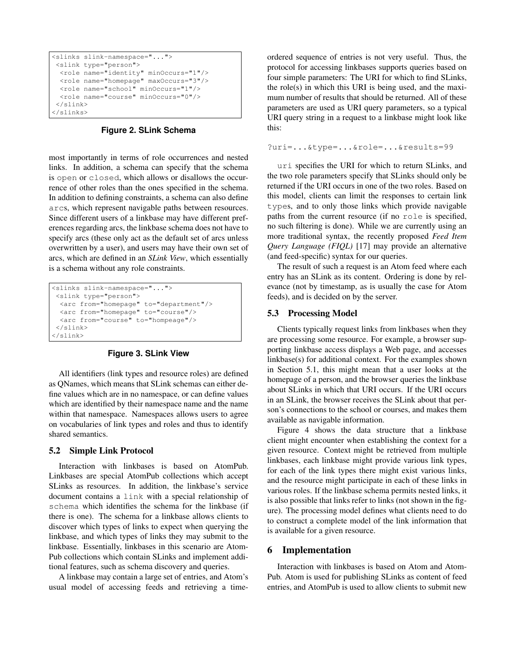```
<slinks slink-namespace="...">
<slink type="person">
 <role name="identity" minOccurs="1"/>
 <role name="homepage" maxOccurs="3"/>
 <role name="school" minOccurs="1"/>
 <role name="course" minOccurs="0"/>
</slink>
</slinks>
```
**Figure 2. SLink Schema**

most importantly in terms of role occurrences and nested links. In addition, a schema can specify that the schema is open or closed, which allows or disallows the occurrence of other roles than the ones specified in the schema. In addition to defining constraints, a schema can also define arcs, which represent navigable paths between resources. Since different users of a linkbase may have different preferences regarding arcs, the linkbase schema does not have to specify arcs (these only act as the default set of arcs unless overwritten by a user), and users may have their own set of arcs, which are defined in an *SLink View*, which essentially is a schema without any role constraints.

```
<slinks slink-namespace="...">
<slink type="person">
 <arc from="homepage" to="department"/>
 <arc from="homepage" to="course"/>
 <arc from="course" to="hompeage"/>
</slink>
</slink>
```
# **Figure 3. SLink View**

All identifiers (link types and resource roles) are defined as QNames, which means that SLink schemas can either define values which are in no namespace, or can define values which are identified by their namespace name and the name within that namespace. Namespaces allows users to agree on vocabularies of link types and roles and thus to identify shared semantics.

### 5.2 Simple Link Protocol

Interaction with linkbases is based on AtomPub. Linkbases are special AtomPub collections which accept SLinks as resources. In addition, the linkbase's service document contains a link with a special relationship of schema which identifies the schema for the linkbase (if there is one). The schema for a linkbase allows clients to discover which types of links to expect when querying the linkbase, and which types of links they may submit to the linkbase. Essentially, linkbases in this scenario are Atom-Pub collections which contain SLinks and implement additional features, such as schema discovery and queries.

A linkbase may contain a large set of entries, and Atom's usual model of accessing feeds and retrieving a timeordered sequence of entries is not very useful. Thus, the protocol for accessing linkbases supports queries based on four simple parameters: The URI for which to find SLinks, the role(s) in which this URI is being used, and the maximum number of results that should be returned. All of these parameters are used as URI query parameters, so a typical URI query string in a request to a linkbase might look like this:

```
?uri=...&type=...&role=...&results=99
```
uri specifies the URI for which to return SLinks, and the two role parameters specify that SLinks should only be returned if the URI occurs in one of the two roles. Based on this model, clients can limit the responses to certain link types, and to only those links which provide navigable paths from the current resource (if no role is specified, no such filtering is done). While we are currently using an more traditional syntax, the recently proposed *Feed Item Query Language (FIQL)* [\[17\]](#page-5-0) may provide an alternative (and feed-specific) syntax for our queries.

The result of such a request is an Atom feed where each entry has an SLink as its content. Ordering is done by relevance (not by timestamp, as is usually the case for Atom feeds), and is decided on by the server.

### 5.3 Processing Model

Clients typically request links from linkbases when they are processing some resource. For example, a browser supporting linkbase access displays a Web page, and accesses linkbase(s) for additional context. For the examples shown in Section [5.1,](#page-3-0) this might mean that a user looks at the homepage of a person, and the browser queries the linkbase about SLinks in which that URI occurs. If the URI occurs in an SLink, the browser receives the SLink about that person's connections to the school or courses, and makes them available as navigable information.

Figure [4](#page-5-0) shows the data structure that a linkbase client might encounter when establishing the context for a given resource. Context might be retrieved from multiple linkbases, each linkbase might provide various link types, for each of the link types there might exist various links, and the resource might participate in each of these links in various roles. If the linkbase schema permits nested links, it is also possible that links refer to links (not shown in the figure). The processing model defines what clients need to do to construct a complete model of the link information that is available for a given resource.

# 6 Implementation

Interaction with linkbases is based on Atom and Atom-Pub. Atom is used for publishing SLinks as content of feed entries, and AtomPub is used to allow clients to submit new